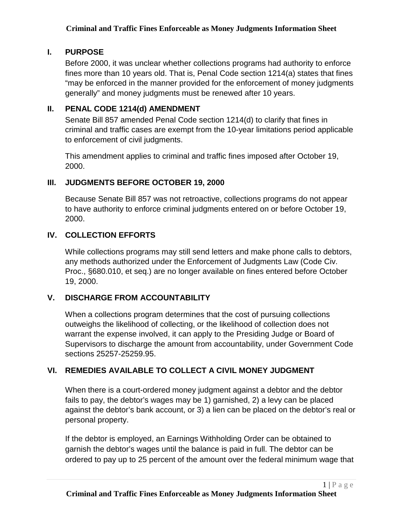#### **I. PURPOSE**

Before 2000, it was unclear whether collections programs had authority to enforce fines more than 10 years old. That is, Penal Code section 1214(a) states that fines "may be enforced in the manner provided for the enforcement of money judgments generally" and money judgments must be renewed after 10 years.

# **II. PENAL CODE 1214(d) AMENDMENT**

Senate Bill 857 amended Penal Code section 1214(d) to clarify that fines in criminal and traffic cases are exempt from the 10-year limitations period applicable to enforcement of civil judgments.

This amendment applies to criminal and traffic fines imposed after October 19, 2000.

# **III. JUDGMENTS BEFORE OCTOBER 19, 2000**

Because Senate Bill 857 was not retroactive, collections programs do not appear to have authority to enforce criminal judgments entered on or before October 19, 2000.

# **IV. COLLECTION EFFORTS**

While collections programs may still send letters and make phone calls to debtors, any methods authorized under the Enforcement of Judgments Law (Code Civ. Proc., §680.010, et seq.) are no longer available on fines entered before October 19, 2000.

# **V. DISCHARGE FROM ACCOUNTABILITY**

When a collections program determines that the cost of pursuing collections outweighs the likelihood of collecting, or the likelihood of collection does not warrant the expense involved, it can apply to the Presiding Judge or Board of Supervisors to discharge the amount from accountability, under Government Code sections 25257-25259.95.

# **VI. REMEDIES AVAILABLE TO COLLECT A CIVIL MONEY JUDGMENT**

When there is a court-ordered money judgment against a debtor and the debtor fails to pay, the debtor's wages may be 1) garnished, 2) a levy can be placed against the debtor's bank account, or 3) a lien can be placed on the debtor's real or personal property.

If the debtor is employed, an Earnings Withholding Order can be obtained to garnish the debtor's wages until the balance is paid in full. The debtor can be ordered to pay up to 25 percent of the amount over the federal minimum wage that